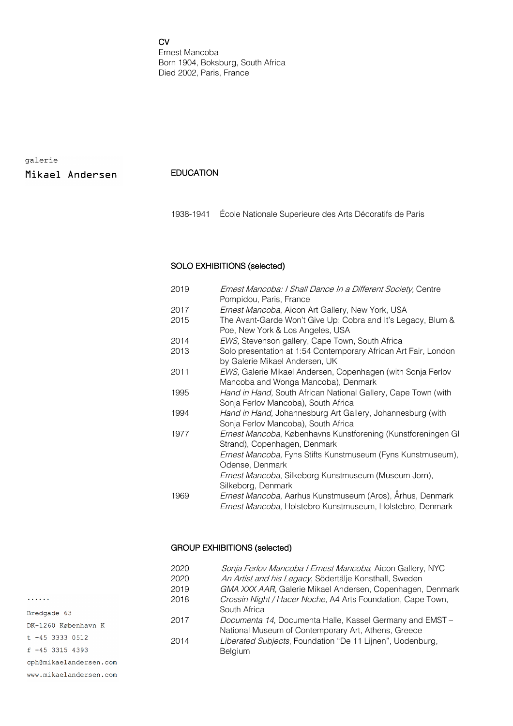CV

Ernest Mancoba Born 1904, Boksburg, South Africa Died 2002, Paris, France

galerie

Mikael Andersen

### EDUCATION

1938-1941 École Nationale Superieure des Arts Décoratifs de Paris

## SOLO EXHIBITIONS (selected)

| 2019 | Ernest Mancoba: I Shall Dance In a Different Society, Centre                                         |
|------|------------------------------------------------------------------------------------------------------|
|      | Pompidou, Paris, France                                                                              |
| 2017 | Ernest Mancoba, Aicon Art Gallery, New York, USA                                                     |
| 2015 | The Avant-Garde Won't Give Up: Cobra and It's Legacy, Blum &<br>Poe, New York & Los Angeles, USA     |
| 2014 | EWS, Stevenson gallery, Cape Town, South Africa                                                      |
| 2013 | Solo presentation at 1:54 Contemporary African Art Fair, London<br>by Galerie Mikael Andersen, UK    |
| 2011 | EWS, Galerie Mikael Andersen, Copenhagen (with Sonja Ferlov<br>Mancoba and Wonga Mancoba), Denmark   |
| 1995 | Hand in Hand, South African National Gallery, Cape Town (with<br>Sonja Ferlov Mancoba), South Africa |
| 1994 | Hand in Hand, Johannesburg Art Gallery, Johannesburg (with<br>Sonja Ferlov Mancoba), South Africa    |
| 1977 | Ernest Mancoba, Københavns Kunstforening (Kunstforeningen GI<br>Strand), Copenhagen, Denmark         |
|      | Ernest Mancoba, Fyns Stifts Kunstmuseum (Fyns Kunstmuseum),<br>Odense, Denmark                       |
|      | Ernest Mancoba, Silkeborg Kunstmuseum (Museum Jorn),                                                 |
|      | Silkeborg, Denmark                                                                                   |
| 1969 | Ernest Mancoba, Aarhus Kunstmuseum (Aros), Århus, Denmark                                            |
|      | Ernest Mancoba, Holstebro Kunstmuseum, Holstebro, Denmark                                            |

# GROUP EXHIBITIONS (selected)

| 2020 | Sonja Ferlov Mancoba I Ernest Mancoba, Aicon Gallery, NYC   |
|------|-------------------------------------------------------------|
| 2020 | An Artist and his Legacy, Södertälje Konsthall, Sweden      |
| 2019 | GMA XXX AAR, Galerie Mikael Andersen, Copenhagen, Denmark   |
| 2018 | Crossin Night / Hacer Noche, A4 Arts Foundation, Cape Town, |
|      | South Africa                                                |
| 2017 | Documenta 14, Documenta Halle, Kassel Germany and EMST -    |
|      | National Museum of Contemporary Art, Athens, Greece         |
| 2014 | Liberated Subjects, Foundation "De 11 Lijnen", Uodenburg,   |
|      | <b>Belgium</b>                                              |
|      |                                                             |

. . . . . . Bredgade 63 DK-1260 København K  $t + 45$  3333 0512 f +45 3315 4393 cph@mikaelandersen.com

www.mikaelandersen.com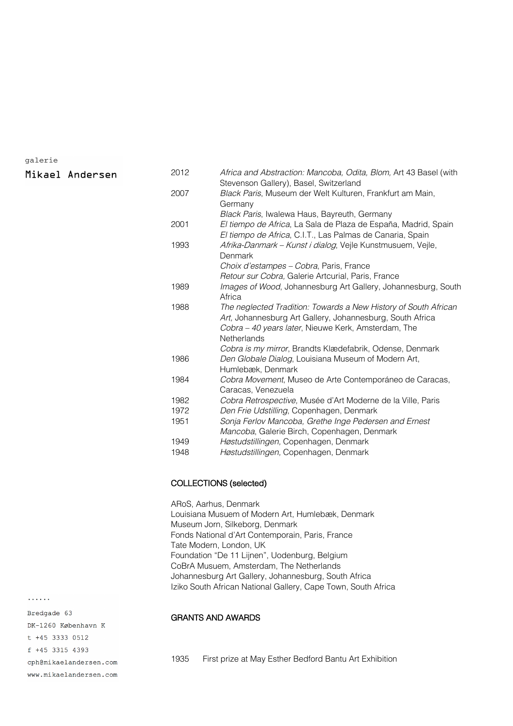#### galerie

Mikael Andersen

| 2012 | Africa and Abstraction: Mancoba, Odita, Blom, Art 43 Basel (with<br>Stevenson Gallery), Basel, Switzerland                                                                                                |
|------|-----------------------------------------------------------------------------------------------------------------------------------------------------------------------------------------------------------|
| 2007 | Black Paris, Museum der Welt Kulturen, Frankfurt am Main,                                                                                                                                                 |
|      | Germany                                                                                                                                                                                                   |
|      | Black Paris, Iwalewa Haus, Bayreuth, Germany                                                                                                                                                              |
| 2001 | El tiempo de Africa, La Sala de Plaza de España, Madrid, Spain<br>El tiempo de Africa, C.I.T., Las Palmas de Canaria, Spain                                                                               |
| 1993 | Afrika-Danmark - Kunst i dialog, Vejle Kunstmusuem, Vejle,<br>Denmark                                                                                                                                     |
|      | Choix d'estampes – Cobra, Paris, France                                                                                                                                                                   |
|      | Retour sur Cobra, Galerie Artcurial, Paris, France                                                                                                                                                        |
| 1989 | Images of Wood, Johannesburg Art Gallery, Johannesburg, South                                                                                                                                             |
|      | Africa                                                                                                                                                                                                    |
| 1988 | The neglected Tradition: Towards a New History of South African<br>Art, Johannesburg Art Gallery, Johannesburg, South Africa<br>Cobra - 40 years later, Nieuwe Kerk, Amsterdam, The<br><b>Netherlands</b> |
|      | Cobra is my mirror, Brandts Klædefabrik, Odense, Denmark                                                                                                                                                  |
| 1986 | Den Globale Dialog, Louisiana Museum of Modern Art,<br>Humlebæk, Denmark                                                                                                                                  |
| 1984 | Cobra Movement, Museo de Arte Contemporáneo de Caracas,                                                                                                                                                   |
|      | Caracas, Venezuela                                                                                                                                                                                        |
| 1982 | Cobra Retrospective, Musée d'Art Moderne de la Ville, Paris                                                                                                                                               |
| 1972 | Den Frie Udstilling, Copenhagen, Denmark                                                                                                                                                                  |
| 1951 | Sonja Ferlov Mancoba, Grethe Inge Pedersen and Ernest<br>Mancoba, Galerie Birch, Copenhagen, Denmark                                                                                                      |
| 1949 | Høstudstillingen, Copenhagen, Denmark                                                                                                                                                                     |
| 1948 | Høstudstillingen, Copenhagen, Denmark                                                                                                                                                                     |
|      |                                                                                                                                                                                                           |

# COLLECTIONS (selected)

ARoS, Aarhus, Denmark Louisiana Musuem of Modern Art, Humlebæk, Denmark Museum Jorn, Silkeborg, Denmark Fonds National d'Art Contemporain, Paris, France Tate Modern, London, UK Foundation "De 11 Lijnen", Uodenburg, Belgium CoBrA Musuem, Amsterdam, The Netherlands Johannesburg Art Gallery, Johannesburg, South Africa Iziko South African National Gallery, Cape Town, South Africa

## GRANTS AND AWARDS

1935 First prize at May Esther Bedford Bantu Art Exhibition

Bredgade 63 DK-1260 København K  $t + 45$  3333 0512 f +45 3315 4393

. . . . . .

cph@mikaelandersen.com www.mikaelandersen.com